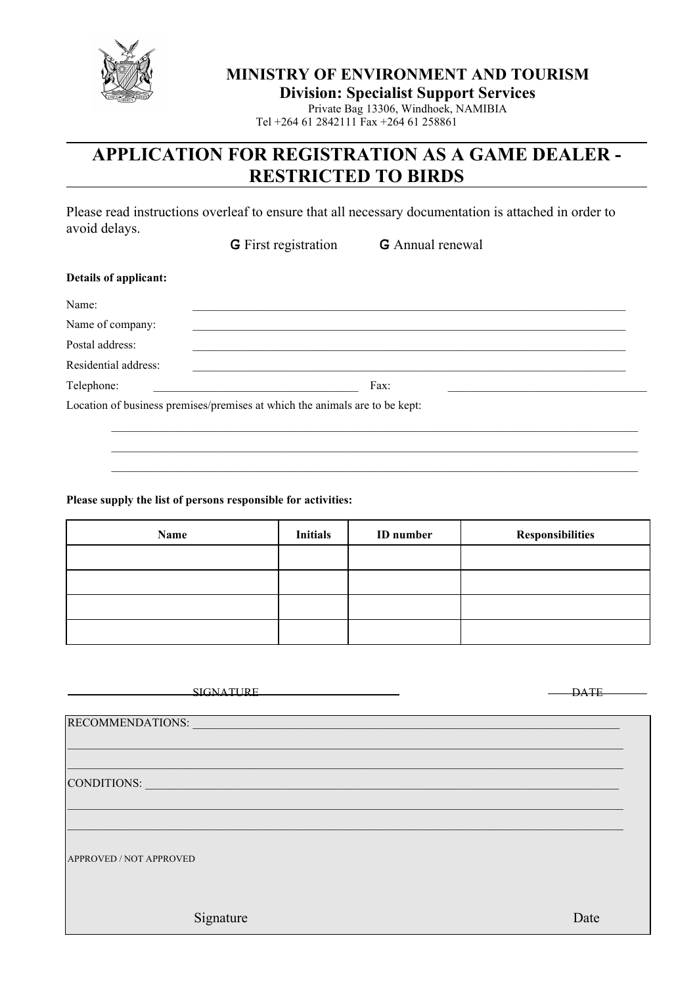

# **MINISTRY OF ENVIRONMENT AND TOURISM**

**Division: Specialist Support Services**

Private Bag 13306, Windhoek, NAMIBIA Tel +264 61 2842111 Fax +264 61 258861

# **APPLICATION FOR REGISTRATION AS A GAME DEALER - RESTRICTED TO BIRDS**

Please read instructions overleaf to ensure that all necessary documentation is attached in order to avoid delays.

**G** First registration **G** Annual renewal

| Details of applicant: |                                                                             |  |
|-----------------------|-----------------------------------------------------------------------------|--|
| Name:                 |                                                                             |  |
| Name of company:      |                                                                             |  |
| Postal address:       |                                                                             |  |
| Residential address:  |                                                                             |  |
| Telephone:            | Fax:                                                                        |  |
|                       | Location of business premises/premises at which the animals are to be kept: |  |

 \_\_\_\_\_\_\_\_\_\_\_\_\_\_\_\_\_\_\_\_\_\_\_\_\_\_\_\_\_\_\_\_\_\_\_\_\_\_\_\_\_\_\_\_\_\_\_\_\_\_\_\_\_\_\_\_\_\_\_\_\_\_\_\_\_\_\_\_\_\_\_\_\_\_\_\_\_\_\_\_\_\_\_\_\_\_\_\_\_\_ \_\_\_\_\_\_\_\_\_\_\_\_\_\_\_\_\_\_\_\_\_\_\_\_\_\_\_\_\_\_\_\_\_\_\_\_\_\_\_\_\_\_\_\_\_\_\_\_\_\_\_\_\_\_\_\_\_\_\_\_\_\_\_\_\_\_\_\_\_\_\_\_\_\_\_\_\_\_\_\_\_\_\_\_\_\_\_\_\_\_ \_\_\_\_\_\_\_\_\_\_\_\_\_\_\_\_\_\_\_\_\_\_\_\_\_\_\_\_\_\_\_\_\_\_\_\_\_\_\_\_\_\_\_\_\_\_\_\_\_\_\_\_\_\_\_\_\_\_\_\_\_\_\_\_\_\_\_\_\_\_\_\_\_\_\_\_\_\_\_\_\_\_\_\_\_\_\_\_\_\_

## **Please supply the list of persons responsible for activities:**

| Name | <b>Initials</b> | <b>ID</b> number | <b>Responsibilities</b> |
|------|-----------------|------------------|-------------------------|
|      |                 |                  |                         |
|      |                 |                  |                         |
|      |                 |                  |                         |
|      |                 |                  |                         |

| <b>SIGNATHRE</b>        | <b>DATE</b> |
|-------------------------|-------------|
|                         |             |
|                         |             |
| RECOMMENDATIONS:        |             |
|                         |             |
|                         |             |
|                         |             |
| CONDITIONS:             |             |
|                         |             |
|                         |             |
|                         |             |
|                         |             |
|                         |             |
| APPROVED / NOT APPROVED |             |
|                         |             |
|                         |             |
|                         |             |
|                         |             |
| Signature               | Date        |
|                         |             |